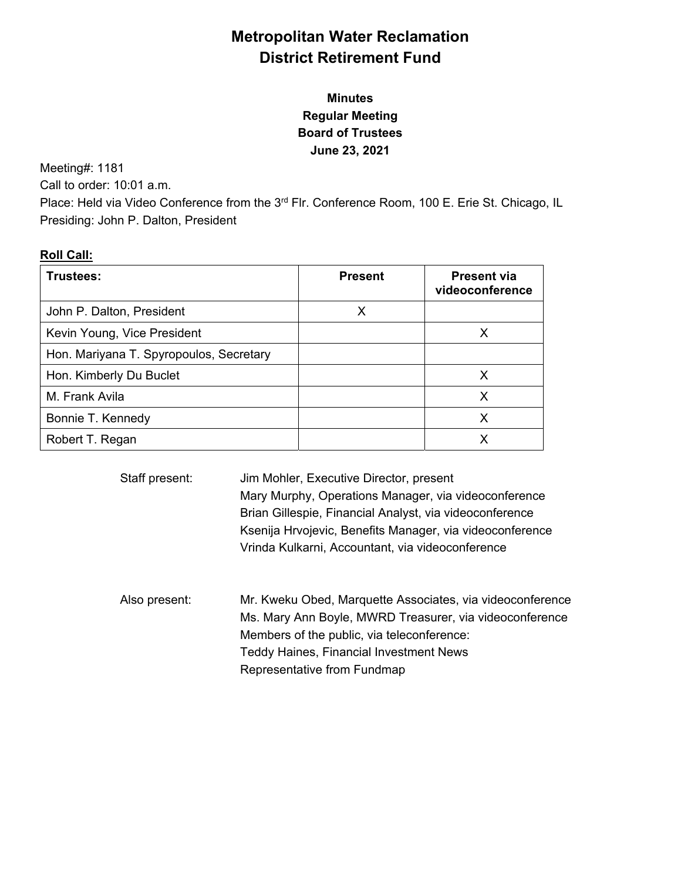# **Metropolitan Water Reclamation District Retirement Fund**

# **Minutes Regular Meeting Board of Trustees June 23, 2021**

Meeting#: 1181

Call to order: 10:01 a.m.

Place: Held via Video Conference from the 3<sup>rd</sup> Flr. Conference Room, 100 E. Erie St. Chicago, IL Presiding: John P. Dalton, President

# **Roll Call:**

| Trustees:                               | <b>Present</b> | <b>Present via</b><br>videoconference |
|-----------------------------------------|----------------|---------------------------------------|
| John P. Dalton, President               | Х              |                                       |
| Kevin Young, Vice President             |                | х                                     |
| Hon. Mariyana T. Spyropoulos, Secretary |                |                                       |
| Hon. Kimberly Du Buclet                 |                | х                                     |
| M. Frank Avila                          |                | X                                     |
| Bonnie T. Kennedy                       |                | X                                     |
| Robert T. Regan                         |                |                                       |

| Staff present: | Jim Mohler, Executive Director, present<br>Mary Murphy, Operations Manager, via videoconference<br>Brian Gillespie, Financial Analyst, via videoconference<br>Ksenija Hrvojevic, Benefits Manager, via videoconference<br>Vrinda Kulkarni, Accountant, via videoconference |
|----------------|----------------------------------------------------------------------------------------------------------------------------------------------------------------------------------------------------------------------------------------------------------------------------|
| Also present:  | Mr. Kweku Obed, Marquette Associates, via videoconference<br>Ms. Mary Ann Boyle, MWRD Treasurer, via videoconference<br>Members of the public, via teleconference:<br><b>Teddy Haines, Financial Investment News</b><br>Representative from Fundmap                        |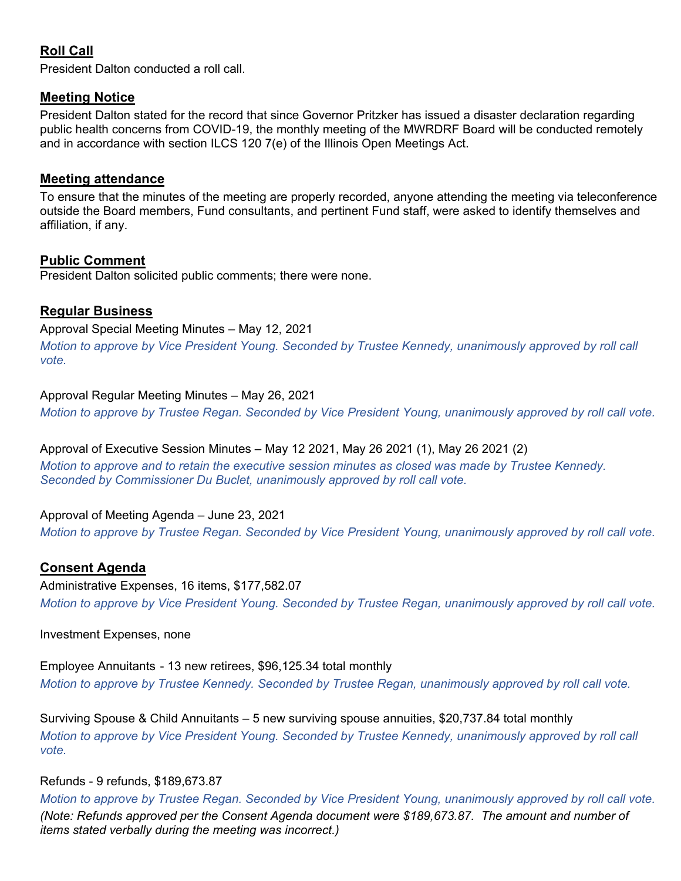# **Roll Call**

President Dalton conducted a roll call.

### **Meeting Notice**

President Dalton stated for the record that since Governor Pritzker has issued a disaster declaration regarding public health concerns from COVID-19, the monthly meeting of the MWRDRF Board will be conducted remotely and in accordance with section ILCS 120 7(e) of the Illinois Open Meetings Act.

### **Meeting attendance**

To ensure that the minutes of the meeting are properly recorded, anyone attending the meeting via teleconference outside the Board members, Fund consultants, and pertinent Fund staff, were asked to identify themselves and affiliation, if any.

### **Public Comment**

President Dalton solicited public comments; there were none.

### **Regular Business**

Approval Special Meeting Minutes – May 12, 2021

*Motion to approve by Vice President Young. Seconded by Trustee Kennedy, unanimously approved by roll call vote.* 

### Approval Regular Meeting Minutes – May 26, 2021

*Motion to approve by Trustee Regan. Seconded by Vice President Young, unanimously approved by roll call vote.* 

### Approval of Executive Session Minutes – May 12 2021, May 26 2021 (1), May 26 2021 (2)

*Motion to approve and to retain the executive session minutes as closed was made by Trustee Kennedy. Seconded by Commissioner Du Buclet, unanimously approved by roll call vote.* 

### Approval of Meeting Agenda – June 23, 2021

*Motion to approve by Trustee Regan. Seconded by Vice President Young, unanimously approved by roll call vote.*

### **Consent Agenda**

Administrative Expenses, 16 items, \$177,582.07 *Motion to approve by Vice President Young. Seconded by Trustee Regan, unanimously approved by roll call vote.* 

Investment Expenses, none

Employee Annuitants - 13 new retirees, \$96,125.34 total monthly *Motion to approve by Trustee Kennedy. Seconded by Trustee Regan, unanimously approved by roll call vote.* 

Surviving Spouse & Child Annuitants – 5 new surviving spouse annuities, \$20,737.84 total monthly *Motion to approve by Vice President Young. Seconded by Trustee Kennedy, unanimously approved by roll call vote.* 

### Refunds - 9 refunds, \$189,673.87

*Motion to approve by Trustee Regan. Seconded by Vice President Young, unanimously approved by roll call vote. (Note: Refunds approved per the Consent Agenda document were \$189,673.87. The amount and number of items stated verbally during the meeting was incorrect.)*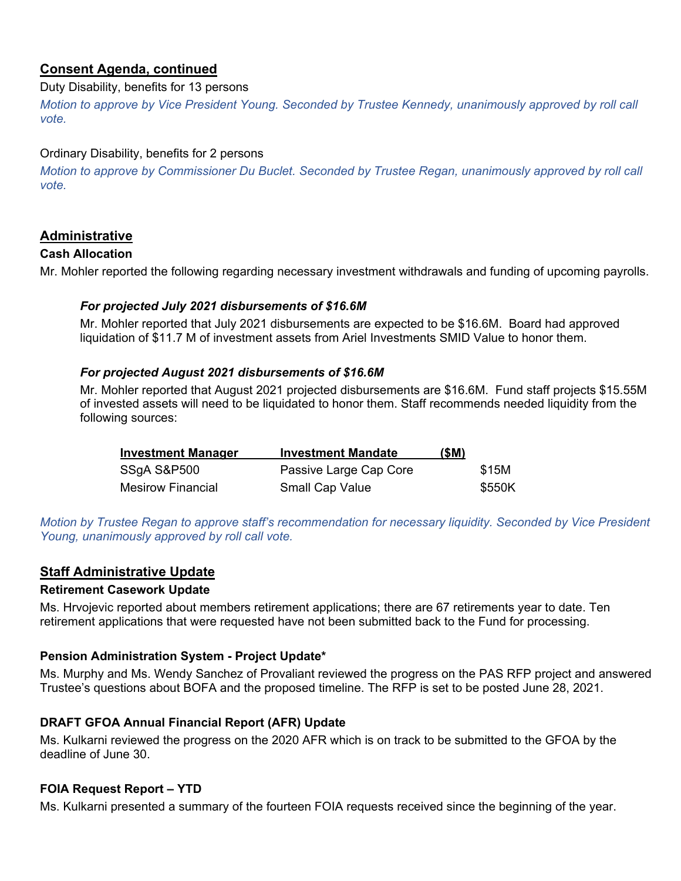# **Consent Agenda, continued**

### Duty Disability, benefits for 13 persons

*Motion to approve by Vice President Young. Seconded by Trustee Kennedy, unanimously approved by roll call vote.* 

### Ordinary Disability, benefits for 2 persons

*Motion to approve by Commissioner Du Buclet. Seconded by Trustee Regan, unanimously approved by roll call vote.* 

### **Administrative**

### **Cash Allocation**

Mr. Mohler reported the following regarding necessary investment withdrawals and funding of upcoming payrolls.

### *For projected July 2021 disbursements of \$16.6M*

Mr. Mohler reported that July 2021 disbursements are expected to be \$16.6M. Board had approved liquidation of \$11.7 M of investment assets from Ariel Investments SMID Value to honor them.

### *For projected August 2021 disbursements of \$16.6M*

Mr. Mohler reported that August 2021 projected disbursements are \$16.6M. Fund staff projects \$15.55M of invested assets will need to be liquidated to honor them. Staff recommends needed liquidity from the following sources:

| <b>Investment Manager</b> | <b>Investment Mandate</b> | (SM) |        |
|---------------------------|---------------------------|------|--------|
| SSgA S&P500               | Passive Large Cap Core    |      | \$15M  |
| Mesirow Financial         | <b>Small Cap Value</b>    |      | \$550K |

*Motion by Trustee Regan to approve staff's recommendation for necessary liquidity. Seconded by Vice President Young, unanimously approved by roll call vote.* 

# **Staff Administrative Update**

### **Retirement Casework Update**

Ms. Hrvojevic reported about members retirement applications; there are 67 retirements year to date. Ten retirement applications that were requested have not been submitted back to the Fund for processing.

### **Pension Administration System - Project Update\***

Ms. Murphy and Ms. Wendy Sanchez of Provaliant reviewed the progress on the PAS RFP project and answered Trustee's questions about BOFA and the proposed timeline. The RFP is set to be posted June 28, 2021.

### **DRAFT GFOA Annual Financial Report (AFR) Update**

Ms. Kulkarni reviewed the progress on the 2020 AFR which is on track to be submitted to the GFOA by the deadline of June 30.

### **FOIA Request Report – YTD**

Ms. Kulkarni presented a summary of the fourteen FOIA requests received since the beginning of the year.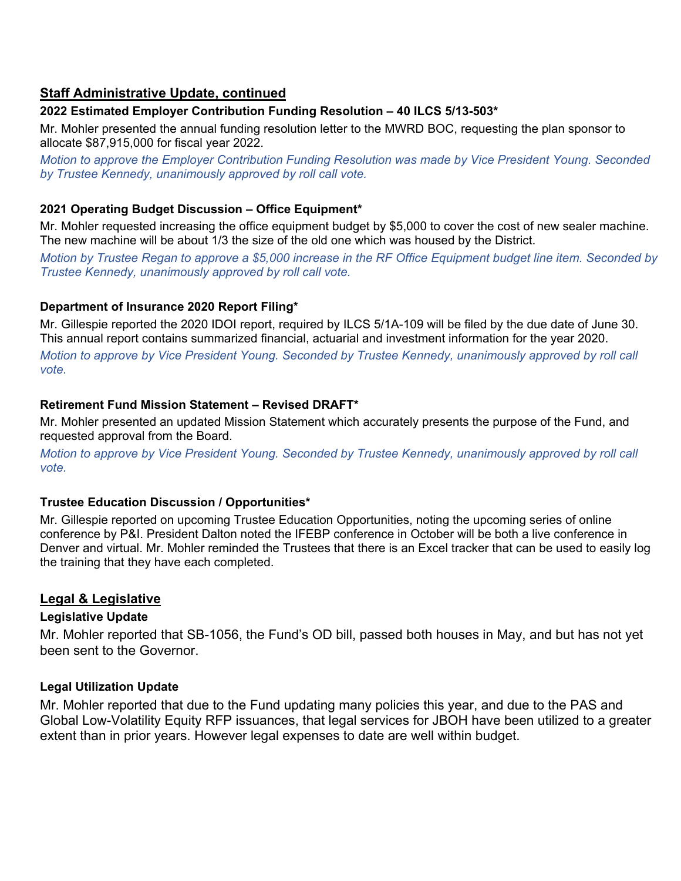### **Staff Administrative Update, continued**

### **2022 Estimated Employer Contribution Funding Resolution – 40 ILCS 5/13-503\***

Mr. Mohler presented the annual funding resolution letter to the MWRD BOC, requesting the plan sponsor to allocate \$87,915,000 for fiscal year 2022.

*Motion to approve the Employer Contribution Funding Resolution was made by Vice President Young. Seconded by Trustee Kennedy, unanimously approved by roll call vote.* 

### **2021 Operating Budget Discussion – Office Equipment\***

Mr. Mohler requested increasing the office equipment budget by \$5,000 to cover the cost of new sealer machine. The new machine will be about 1/3 the size of the old one which was housed by the District.

*Motion by Trustee Regan to approve a \$5,000 increase in the RF Office Equipment budget line item. Seconded by Trustee Kennedy, unanimously approved by roll call vote.* 

### **Department of Insurance 2020 Report Filing\***

Mr. Gillespie reported the 2020 IDOI report, required by ILCS 5/1A-109 will be filed by the due date of June 30. This annual report contains summarized financial, actuarial and investment information for the year 2020.

*Motion to approve by Vice President Young. Seconded by Trustee Kennedy, unanimously approved by roll call vote.* 

### **Retirement Fund Mission Statement – Revised DRAFT\***

Mr. Mohler presented an updated Mission Statement which accurately presents the purpose of the Fund, and requested approval from the Board.

*Motion to approve by Vice President Young. Seconded by Trustee Kennedy, unanimously approved by roll call vote.* 

### **Trustee Education Discussion / Opportunities\***

Mr. Gillespie reported on upcoming Trustee Education Opportunities, noting the upcoming series of online conference by P&I. President Dalton noted the IFEBP conference in October will be both a live conference in Denver and virtual. Mr. Mohler reminded the Trustees that there is an Excel tracker that can be used to easily log the training that they have each completed.

### **Legal & Legislative**

### **Legislative Update**

Mr. Mohler reported that SB-1056, the Fund's OD bill, passed both houses in May, and but has not yet been sent to the Governor.

### **Legal Utilization Update**

Mr. Mohler reported that due to the Fund updating many policies this year, and due to the PAS and Global Low-Volatility Equity RFP issuances, that legal services for JBOH have been utilized to a greater extent than in prior years. However legal expenses to date are well within budget.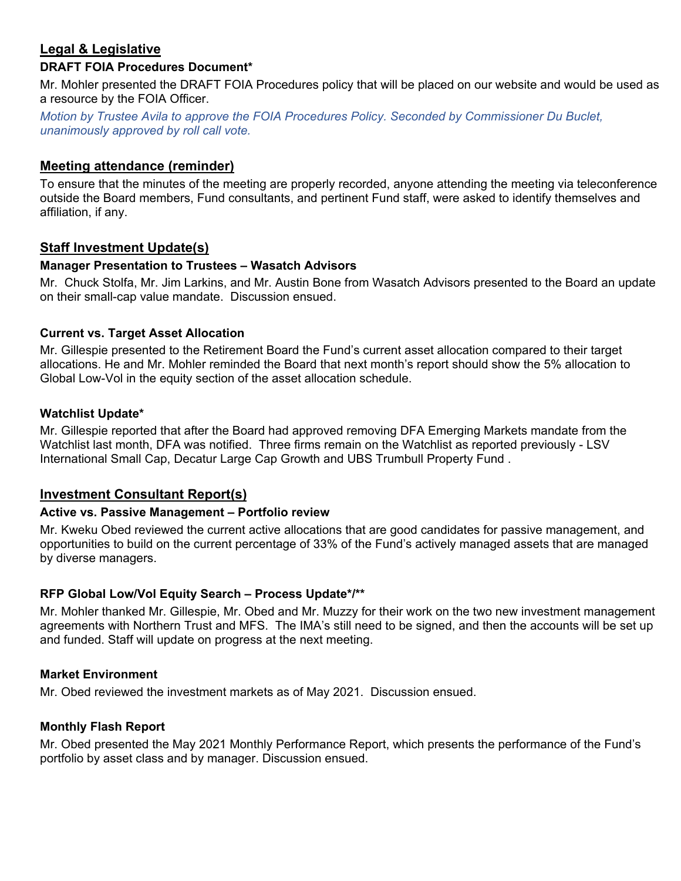# **Legal & Legislative**

### **DRAFT FOIA Procedures Document\***

Mr. Mohler presented the DRAFT FOIA Procedures policy that will be placed on our website and would be used as a resource by the FOIA Officer.

*Motion by Trustee Avila to approve the FOIA Procedures Policy. Seconded by Commissioner Du Buclet, unanimously approved by roll call vote.* 

### **Meeting attendance (reminder)**

To ensure that the minutes of the meeting are properly recorded, anyone attending the meeting via teleconference outside the Board members, Fund consultants, and pertinent Fund staff, were asked to identify themselves and affiliation, if any.

#### **Staff Investment Update(s)**

#### **Manager Presentation to Trustees – Wasatch Advisors**

Mr. Chuck Stolfa, Mr. Jim Larkins, and Mr. Austin Bone from Wasatch Advisors presented to the Board an update on their small-cap value mandate. Discussion ensued.

#### **Current vs. Target Asset Allocation**

Mr. Gillespie presented to the Retirement Board the Fund's current asset allocation compared to their target allocations. He and Mr. Mohler reminded the Board that next month's report should show the 5% allocation to Global Low-Vol in the equity section of the asset allocation schedule.

#### **Watchlist Update\***

Mr. Gillespie reported that after the Board had approved removing DFA Emerging Markets mandate from the Watchlist last month, DFA was notified. Three firms remain on the Watchlist as reported previously - LSV International Small Cap, Decatur Large Cap Growth and UBS Trumbull Property Fund .

### **Investment Consultant Report(s)**

#### **Active vs. Passive Management – Portfolio review**

Mr. Kweku Obed reviewed the current active allocations that are good candidates for passive management, and opportunities to build on the current percentage of 33% of the Fund's actively managed assets that are managed by diverse managers.

### **RFP Global Low/Vol Equity Search – Process Update\*/\*\***

Mr. Mohler thanked Mr. Gillespie, Mr. Obed and Mr. Muzzy for their work on the two new investment management agreements with Northern Trust and MFS. The IMA's still need to be signed, and then the accounts will be set up and funded. Staff will update on progress at the next meeting.

#### **Market Environment**

Mr. Obed reviewed the investment markets as of May 2021. Discussion ensued.

#### **Monthly Flash Report**

Mr. Obed presented the May 2021 Monthly Performance Report, which presents the performance of the Fund's portfolio by asset class and by manager. Discussion ensued.